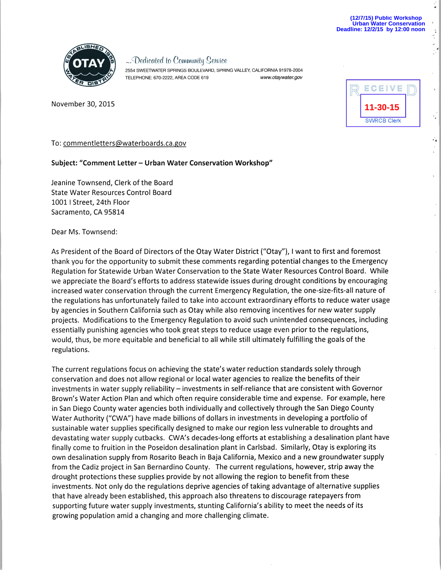..

 $\ddot{\cdot}$ 

..



*... COedicoted* to Cowmw11ity *.9ehVic<sup>e</sup>*

2554 SWEETWATER SPRINGS BOULEVARD, SPRING VALLEY, CALIFORNIA 91978-2004 TELEPHONE: 670-2222, AREA CODE 619 www.otaywater.gov

November *30,* 2015

| ECEIVE             |  |
|--------------------|--|
| 11-30-15           |  |
| <b>SWRCB Clerk</b> |  |

To: commentletters@waterboards.ca.gov

## **Subject: "Comment letter- Urban Water Conservation Workshop"**

Jeanine Townsend, Clerk of the Board State Water Resources Control Board 1001 I Street, 24th Floor Sacramento, CA 95814

Dear Ms. Townsend:

As President of the Board of Directors of the Otay Water District ("Otay"), I want to first and foremost thank you for the opportunity to submit these comments regarding potential changes to the Emergency Regulation for Statewide Urban Water Conservation to the State Water Resources Control Board. While we appreciate the Board's efforts to address statewide issues during drought conditions by encouraging increased water conservation through the current Emergency Regulation, the one-size-fits-all nature of the regulations has unfortunately failed to take into account extraordinary efforts to reduce water usage by agencies in Southern California such as Otay while also removing incentives for new water supply projects. Modifications to the Emergency Regulation to avoid such unintended consequences, including essentially punishing agencies who took great steps to reduce usage even prior to the regulations, would, thus, be more equitable and beneficial to all while still ultimately fulfilling the goals of the regulations.

The current regulations focus on achieving the state's water reduction standards solely through conservation and does not allow regional or local water agencies to realize the benefits of their investments in water supply reliability - investments in self-reliance that are consistent with Governor Brown's Water Action Plan and which often require considerable time and expense. For example, here in San Diego County water agencies both individually and collectively through the San Diego County Water Authority ("CWA") have made billions of dollars in investments in developing a portfolio of sustainable water supplies specifically designed to make our region less vulnerable to droughts and devastating water supply cutbacks. CWA's decades-long efforts at establishing a desalination plant have finally come to fruition in the Poseidon desalination plant in Carlsbad. Similarly, Otay is exploring its own desalination supply from Rosarito Beach in Baja California, Mexico and a new groundwater supply from the Cadiz project in San Bernardino County. The current regulations, however, strip away the drought protections these supplies provide by not allowing the region to benefit from these investments. Not only do the regulations deprive agencies of taking advantage of alternative supplies that have already been established, this approach also threatens to discourage ratepayers from supporting future water supply investments, stunting California's ability to meet the needs of its growing population amid a changing and more challenging climate.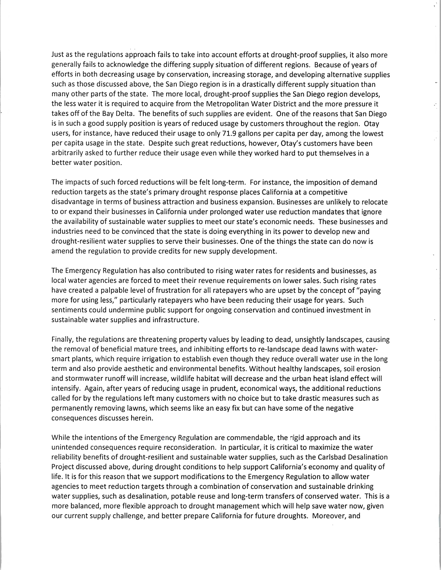Just as the regulations approach fails to take into account efforts at drought-proof supplies, it also more generally fails to acknowledge the differing supply situation of different regions. Because of years of efforts in both decreasing usage by conservation, increasing storage, and developing alternative supplies such as those discussed above, the San Diego region is in a drastically different supply situation than many other parts of the state. The more local, drought-proof supplies the San Diego region develops, the less water it is required to acquire from the Metropolitan Water District and the more pressure it takes off of the Bay Delta. The benefits of such supplies are evident. One of the reasons that San Diego is in such a good supply position is years of reduced usage by customers throughout the region. Otay users, for instance, have reduced their usage to only 71.9 gallons per capita per day, among the lowest per capita usage in the state. Despite such great reductions, however, Otay's customers have been arbitrarily asked to further reduce their usage even while they worked hard to put themselves in a better water position.

The impacts of such forced reductions will be felt long-term. For instance, the imposition of demand reduction targets as the state's primary drought response places California at a competitive disadvantage in terms of business attraction and business expansion. Businesses are unlikely to relocate to or expand their businesses in California under prolonged water use reduction mandates that ignore the availability of sustainable water supplies to meet our state's economic needs. These businesses and industries need to be convinced that the state is doing everything in its power to develop new and drought-resilient water supplies to serve their businesses. One of the things the state can do now is amend the regulation to provide credits for new supply development.

The Emergency Regulation has also contributed to rising water rates for residents and businesses, as local water agencies are forced to meet their revenue requirements on lower sales. Such rising rates have created a palpable level of frustration for all ratepayers who are upset by the concept of "paying more for using less," particularly ratepayers who have been reducing their usage for years. Such sentiments could undermine public support for ongoing conservation and continued investment in sustainable water supplies and infrastructure.

Finally, the regulations are threatening property values by leading to dead, unsightly landscapes, causing the removal of beneficial mature trees, and inhibiting efforts to re-landscape dead lawns with watersmart plants, which require irrigation to establish even though they reduce overall water use in the long term and also provide aesthetic and environmental benefits. Without healthy landscapes, soil erosion and stormwater runoff will increase, wildlife habitat will decrease and the urban heat island effect will intensify. Again, after years of reducing usage in prudent, economical ways, the additional reductions called for by the regulations left many customers with no choice but to take drastic measures such as permanently removing lawns, which seems like an easy fix but can have some of the negative consequences discusses herein.

While the intentions of the Emergency Regulation are commendable, the rigid approach and its unintended consequences require reconsideration. In particular, it is critical to maximize the water reliability benefits of drought-resilient and sustainable water supplies, such as the Carlsbad Desalination Project discussed above, during drought conditions to help support California's economy and quality of life. It is for this reason that we support modifications to the Emergency Regulation to allow water agencies to meet reduction targets through a combination of conservation and sustainable drinking water supplies, such as desalination, potable reuse and long-term transfers of conserved water. This is a more balanced, more flexible approach to drought management which will help save water now, given our current supply challenge, and better prepare California for future droughts. Moreover, and